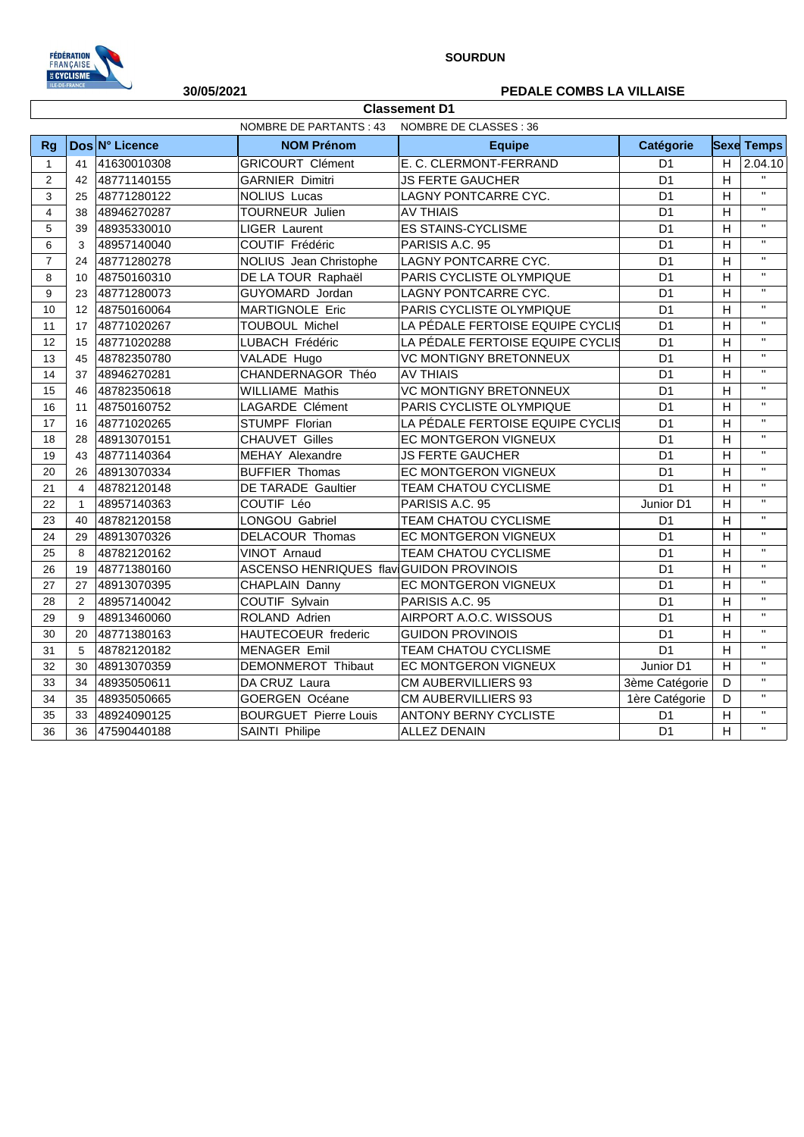

## **30/05/2021 PEDALE COMBS LA VILLAISE**

|                | NOMBRE DE PARTANTS : 43<br>NOMBRE DE CLASSES : 36 |                |                                         |                                   |                |                |                    |  |  |
|----------------|---------------------------------------------------|----------------|-----------------------------------------|-----------------------------------|----------------|----------------|--------------------|--|--|
| <b>Rg</b>      |                                                   | Dos N° Licence | <b>NOM Prénom</b>                       | <b>Equipe</b>                     | Catégorie      |                | <b>Sexe Temps</b>  |  |  |
| $\mathbf{1}$   | 41                                                | 41630010308    | <b>GRICOURT Clément</b>                 | E. C. CLERMONT-FERRAND            | D <sub>1</sub> | H.             | 2.04.10            |  |  |
| 2              | 42                                                | 48771140155    | <b>GARNIER Dimitri</b>                  | <b>JS FERTE GAUCHER</b>           | D <sub>1</sub> | H              | $\mathbf{u}$       |  |  |
| 3              | 25                                                | 48771280122    | <b>NOLIUS Lucas</b>                     | LAGNY PONTCARRE CYC.              | D <sub>1</sub> | H              | $\mathbf{H}$       |  |  |
| $\overline{4}$ | 38                                                | 48946270287    | TOURNEUR Julien                         | <b>AV THIAIS</b>                  | D <sub>1</sub> | H              | $\bar{\mathbf{H}}$ |  |  |
| 5              | 39                                                | 48935330010    | <b>LIGER Laurent</b>                    | <b>ES STAINS-CYCLISME</b>         | D <sub>1</sub> | H              | $\mathbf{H}$       |  |  |
| 6              | 3                                                 | 48957140040    | COUTIF Frédéric                         | PARISIS A.C. 95<br>D <sub>1</sub> |                |                | $\mathbf{H}$       |  |  |
| $\overline{7}$ | 24                                                | 48771280278    | <b>NOLIUS</b> Jean Christophe           | LAGNY PONTCARRE CYC.              | D <sub>1</sub> | H              | $\bar{\mathbf{H}}$ |  |  |
| 8              | 10                                                | 48750160310    | DE LA TOUR Raphaël                      | PARIS CYCLISTE OLYMPIQUE          | D <sub>1</sub> | H              | $\mathbf{H}$       |  |  |
| 9              | 23                                                | 48771280073    | GUYOMARD Jordan                         | LAGNY PONTCARRE CYC.              | D <sub>1</sub> | H              | $\mathbf{H}$       |  |  |
| 10             | 12                                                | 48750160064    | MARTIGNOLE Eric                         | PARIS CYCLISTE OLYMPIQUE          | D <sub>1</sub> | H              | $\mathbf{H}$       |  |  |
| 11             | 17                                                | 48771020267    | <b>TOUBOUL Michel</b>                   | LA PÉDALE FERTOISE EQUIPE CYCLIS  | D <sub>1</sub> | H              | $\mathbf{H}$       |  |  |
| 12             | 15                                                | 48771020288    | LUBACH Frédéric                         | LA PÉDALE FERTOISE EQUIPE CYCLIS  | D <sub>1</sub> | H              | $\mathbf{H}$       |  |  |
| 13             | 45                                                | 48782350780    | VALADE Hugo                             | <b>VC MONTIGNY BRETONNEUX</b>     | D <sub>1</sub> | H              | $\mathbf{H}$       |  |  |
| 14             | 37                                                | 48946270281    | CHANDERNAGOR Théo                       | <b>AV THIAIS</b>                  | D <sub>1</sub> | H              | $\bar{\mathbf{u}}$ |  |  |
| 15             | 46                                                | 48782350618    | <b>WILLIAME Mathis</b>                  | <b>VC MONTIGNY BRETONNEUX</b>     | D <sub>1</sub> | H              | $\mathbf{H}$       |  |  |
| 16             | 11                                                | 48750160752    | <b>LAGARDE Clément</b>                  | PARIS CYCLISTE OLYMPIQUE          | D <sub>1</sub> | H              | $\mathbf{H}$       |  |  |
| 17             | 16                                                | 48771020265    | STUMPF Florian                          | LA PÉDALE FERTOISE EQUIPE CYCLIS  | D <sub>1</sub> | H              | $\mathbf{H}$       |  |  |
| 18             | 28                                                | 48913070151    | <b>CHAUVET Gilles</b>                   | EC MONTGERON VIGNEUX              | D <sub>1</sub> | H              | $\bar{\mathbf{H}}$ |  |  |
| 19             | 43                                                | 48771140364    | <b>MEHAY Alexandre</b>                  | <b>JS FERTE GAUCHER</b>           | D <sub>1</sub> | H              | $\bar{\mathbf{H}}$ |  |  |
| 20             | 26                                                | 48913070334    | <b>BUFFIER Thomas</b>                   | EC MONTGERON VIGNEUX              | D <sub>1</sub> | H              | $\mathbf{H}$       |  |  |
| 21             | $\overline{4}$                                    | 48782120148    | <b>DE TARADE Gaultier</b>               | TEAM CHATOU CYCLISME              | D <sub>1</sub> | H              | $\mathbf{H}$       |  |  |
| 22             | $\mathbf{1}$                                      | 48957140363    | COUTIF Léo                              | PARISIS A.C. 95                   | Junior D1      | H              | $\mathbf{H}$       |  |  |
| 23             | 40                                                | 48782120158    | LONGOU Gabriel                          | TEAM CHATOU CYCLISME              | D <sub>1</sub> | H              | $\mathbf{H}$       |  |  |
| 24             | 29                                                | 48913070326    | DELACOUR Thomas                         | EC MONTGERON VIGNEUX              | D <sub>1</sub> | H              | $\mathbf{H}$       |  |  |
| 25             | 8                                                 | 48782120162    | VINOT Arnaud                            | TEAM CHATOU CYCLISME              | D <sub>1</sub> | H              | $\mathbf{H}$       |  |  |
| 26             | 19                                                | 48771380160    | ASCENSO HENRIQUES flav GUIDON PROVINOIS |                                   | D <sub>1</sub> | H              | $\mathbf{H}$       |  |  |
| 27             | 27                                                | 48913070395    | CHAPLAIN Danny                          | EC MONTGERON VIGNEUX              | D <sub>1</sub> | H              | $\mathbf{H}$       |  |  |
| 28             | 2                                                 | 48957140042    | COUTIF Sylvain                          | PARISIS A.C. 95                   | D <sub>1</sub> | H              | $\mathbf{H}$       |  |  |
| 29             | 9                                                 | 48913460060    | ROLAND Adrien                           | AIRPORT A.O.C. WISSOUS            | D <sub>1</sub> | H              | $\mathbf{H}$       |  |  |
| 30             | 20                                                | 48771380163    | HAUTECOEUR frederic                     | <b>GUIDON PROVINOIS</b>           | D <sub>1</sub> | H              | $\mathbf{H}$       |  |  |
| 31             | 5                                                 | 48782120182    | <b>MENAGER Emil</b>                     | TEAM CHATOU CYCLISME              | D <sub>1</sub> | H              | $\bar{\mathbf{H}}$ |  |  |
| 32             | 30                                                | 48913070359    | DEMONMEROT Thibaut                      | EC MONTGERON VIGNEUX              | Junior D1      | H              | $\mathbf{H}$       |  |  |
| 33             | 34                                                | 48935050611    | DA CRUZ Laura                           | <b>CM AUBERVILLIERS 93</b>        | 3ème Catégorie | D              | $\mathbf{H}$       |  |  |
| 34             | 35                                                | 48935050665    | <b>GOERGEN Océane</b>                   | CM AUBERVILLIERS 93               | 1ère Catégorie | D              | $\mathbf{H}$       |  |  |
| 35             | 33                                                | 48924090125    | <b>BOURGUET Pierre Louis</b>            | <b>ANTONY BERNY CYCLISTE</b>      | D <sub>1</sub> | H              | $\mathbf{H}$       |  |  |
| 36             | 36                                                | 47590440188    | <b>SAINTI Philipe</b>                   | <b>ALLEZ DENAIN</b>               | D <sub>1</sub> | $\overline{H}$ | $\mathbf{H}$       |  |  |

**Classement D1**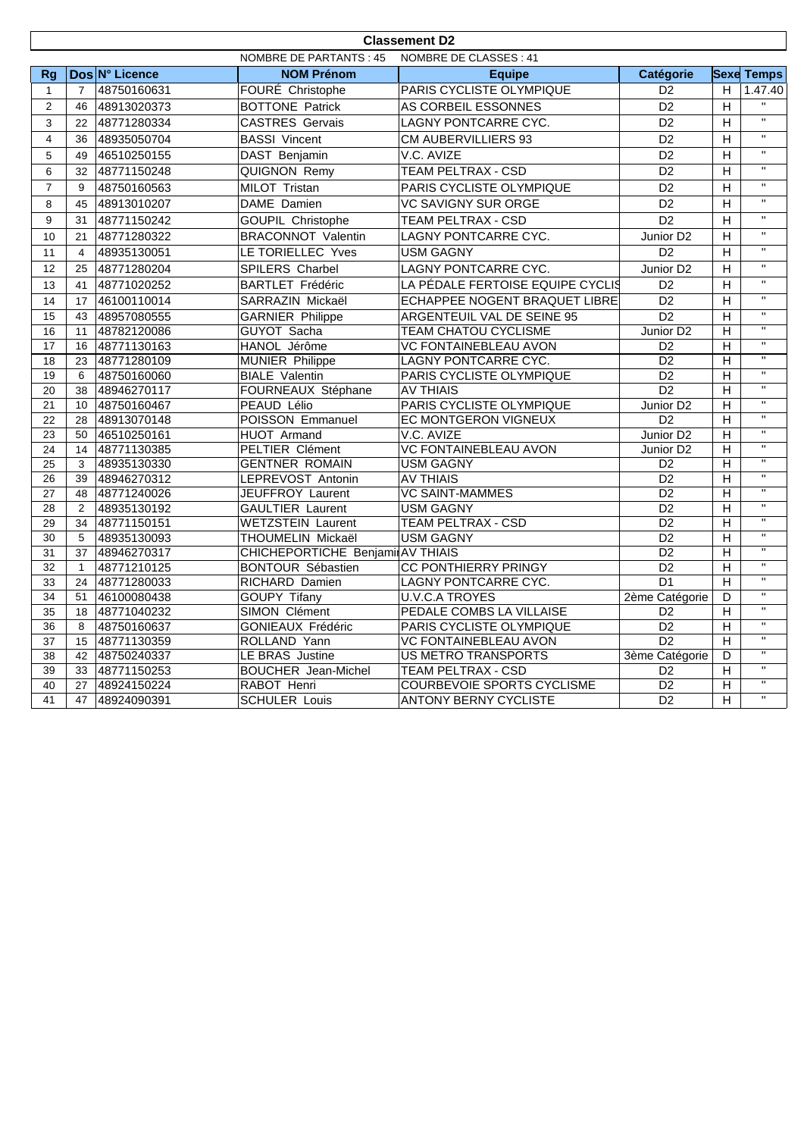|                | <b>Classement D2</b>                                          |                            |                                               |                                                            |                                   |                      |                                                    |  |  |
|----------------|---------------------------------------------------------------|----------------------------|-----------------------------------------------|------------------------------------------------------------|-----------------------------------|----------------------|----------------------------------------------------|--|--|
|                | <b>NOMBRE DE PARTANTS: 45</b><br><b>NOMBRE DE CLASSES: 41</b> |                            |                                               |                                                            |                                   |                      |                                                    |  |  |
| <b>Rg</b>      |                                                               | Dos N° Licence             | <b>NOM Prénom</b>                             | <b>Equipe</b>                                              | Catégorie                         |                      | <b>Sexe Temps</b>                                  |  |  |
| $\mathbf{1}$   | $\overline{7}$                                                | 48750160631                | FOURÉ Christophe                              | PARIS CYCLISTE OLYMPIQUE                                   | D <sub>2</sub>                    | H                    | 1.47.40                                            |  |  |
| 2              | 46                                                            | 48913020373                | <b>BOTTONE Patrick</b>                        | AS CORBEIL ESSONNES                                        | D <sub>2</sub>                    | H                    | $\mathbf{H}$                                       |  |  |
| 3              | 22                                                            | 48771280334                | <b>CASTRES Gervais</b>                        | LAGNY PONTCARRE CYC.                                       | D <sub>2</sub>                    | $\mathsf H$          | $\overline{u}$                                     |  |  |
| $\overline{4}$ | 36                                                            | 48935050704                | <b>BASSI Vincent</b>                          | CM AUBERVILLIERS 93                                        | D <sub>2</sub>                    | H                    | $\overline{\mathbf{u}}$                            |  |  |
| 5              | 49                                                            | 46510250155                | DAST Benjamin                                 | V.C. AVIZE                                                 | D2                                | H                    | $\overline{\mathbf{u}}$                            |  |  |
| 6              | 32                                                            | 48771150248                | QUIGNON Remy                                  | TEAM PELTRAX - CSD                                         | D <sub>2</sub>                    | H                    | $\mathbf{H}$                                       |  |  |
| $\overline{7}$ | 9                                                             | 48750160563                | MILOT Tristan                                 | PARIS CYCLISTE OLYMPIQUE                                   | D <sub>2</sub>                    | H                    | $\overline{\mathbf{u}}$                            |  |  |
| 8              | 45                                                            | 48913010207                | DAME Damien                                   | <b>VC SAVIGNY SUR ORGE</b>                                 | D <sub>2</sub>                    | H                    | $\mathbf{H}$                                       |  |  |
| 9              | 31                                                            | 48771150242                | <b>GOUPIL Christophe</b>                      | TEAM PELTRAX - CSD                                         | D2                                | H                    | $\mathbf{H}$                                       |  |  |
| 10             | 21                                                            | 48771280322                | <b>BRACONNOT Valentin</b>                     | LAGNY PONTCARRE CYC.                                       | Junior D <sub>2</sub>             | H                    | $\mathbf{u}$                                       |  |  |
| 11             | $\overline{4}$                                                | 48935130051                | LE TORIELLEC Yves                             | <b>USM GAGNY</b>                                           | D <sub>2</sub>                    | H                    | $\mathbf{H}$                                       |  |  |
| 12             | 25                                                            | 48771280204                | SPILERS Charbel                               | <b>LAGNY PONTCARRE CYC.</b>                                | Junior D <sub>2</sub>             | H.                   | $\overline{u}$                                     |  |  |
|                | 41                                                            | 48771020252                | <b>BARTLET Frédéric</b>                       | LA PÉDALE FERTOISE EQUIPE CYCLIS                           | D <sub>2</sub>                    | $\mathsf H$          | $\mathbf{H}$                                       |  |  |
| 13             |                                                               |                            |                                               |                                                            | $\overline{D2}$                   | H                    | $\mathbf{H}$                                       |  |  |
| 14             | 17<br>43                                                      | 46100110014                | SARRAZIN Mickaël                              | ECHAPPEE NOGENT BRAQUET LIBRE                              | $\overline{D2}$                   |                      | $\overline{u}$                                     |  |  |
| 15<br>16       | 11                                                            | 48957080555<br>48782120086 | <b>GARNIER Philippe</b><br><b>GUYOT Sacha</b> | ARGENTEUIL VAL DE SEINE 95<br><b>TEAM CHATOU CYCLISME</b>  | Junior D <sub>2</sub>             | $\overline{H}$<br>H. | $\overline{\mathbf{u}}$                            |  |  |
| 17             | 16                                                            | 48771130163                | HANOL Jérôme                                  | <b>VC FONTAINEBLEAU AVON</b>                               | D <sub>2</sub>                    | H                    | $\overline{u}$                                     |  |  |
| 18             | 23                                                            | 48771280109                | <b>MUNIER Philippe</b>                        | <b>LAGNY PONTCARRE CYC.</b>                                | $\overline{D2}$                   | $\overline{H}$       | $\overline{\mathbf{u}}$                            |  |  |
| 19             | 6                                                             | 48750160060                | <b>BIALE</b> Valentin                         | PARIS CYCLISTE OLYMPIQUE                                   | D2                                | $\overline{H}$       | $\overline{u}$                                     |  |  |
| 20             | 38                                                            | 48946270117                | FOURNEAUX Stéphane                            | <b>AV THIAIS</b>                                           | $\overline{D2}$                   | $\overline{H}$       | $\overline{u}$                                     |  |  |
| 21             | 10                                                            | 48750160467                | PEAUD Lélio                                   | PARIS CYCLISTE OLYMPIQUE                                   | Junior D <sub>2</sub>             | H.                   | $\overline{u}$                                     |  |  |
| 22             | 28                                                            | 48913070148                | <b>POISSON Emmanuel</b>                       | EC MONTGERON VIGNEUX                                       | $\overline{D2}$                   | $\overline{H}$       | $\overline{u}$                                     |  |  |
| 23             | 50                                                            | 46510250161                | <b>HUOT</b> Armand                            | V.C. AVIZE                                                 | Junior D <sub>2</sub>             | $\overline{H}$       | $\overline{u}$                                     |  |  |
| 24             | 14                                                            | 48771130385                | <b>PELTIER Clément</b>                        | <b>VC FONTAINEBLEAU AVON</b>                               | Junior D <sub>2</sub>             | $\overline{H}$       | $\overline{\mathbf{u}}$                            |  |  |
| 25             | 3                                                             | 48935130330                | <b>GENTNER ROMAIN</b>                         | <b>USM GAGNY</b>                                           | D <sub>2</sub>                    | H.                   | $\overline{\mathbf{u}}$                            |  |  |
| 26             | 39                                                            | 48946270312                | LEPREVOST Antonin                             | <b>AV THIAIS</b>                                           | $\overline{D2}$                   | H                    | $\mathbf{H}$                                       |  |  |
| 27             | 48                                                            | 48771240026                | <b>JEUFFROY Laurent</b>                       | <b>VC SAINT-MAMMES</b>                                     | D2                                | $\overline{H}$       | $\overline{\mathbf{u}}$                            |  |  |
| 28             | 2                                                             | 48935130192                | <b>GAULTIER Laurent</b>                       | <b>USM GAGNY</b>                                           | D <sub>2</sub>                    | H                    | $\overline{u}$                                     |  |  |
| 29             | 34                                                            | 48771150151                | <b>WETZSTEIN Laurent</b>                      | <b>TEAM PELTRAX - CSD</b>                                  | D <sub>2</sub>                    | H.                   | $\overline{\mathbf{u}}$                            |  |  |
| 30             | 5                                                             | 48935130093                | THOUMELIN Mickaël                             | <b>USM GAGNY</b>                                           | D2                                | $\overline{H}$       | $\overline{\mathbf{u}}$                            |  |  |
| 31             | 37                                                            | 48946270317                | CHICHEPORTICHE Benjami AV THIAIS              |                                                            | $\overline{D2}$                   | Н                    | $\overline{\mathbf{u}}$                            |  |  |
| 32             | $\mathbf{1}$                                                  | 48771210125                | <b>BONTOUR Sébastien</b>                      | <b>CC PONTHIERRY PRINGY</b>                                | D <sub>2</sub>                    | H                    | $\overline{u}$                                     |  |  |
| 33             | 24                                                            | 48771280033                | RICHARD Damien                                | <b>LAGNY PONTCARRE CYC.</b>                                | $\overline{D1}$                   | $\overline{H}$       | $\overline{\mathbf{u}}$<br>$\overline{\mathbf{u}}$ |  |  |
| 34             | 51                                                            | 46100080438                | <b>GOUPY Tifany</b>                           | <b>U.V.C.A TROYES</b>                                      | 2ème Catégorie                    | D                    | $\mathbf{u}$                                       |  |  |
| 35             | 18                                                            | 48771040232                | <b>SIMON Clément</b>                          | PEDALE COMBS LA VILLAISE                                   | D2                                | $\overline{H}$       | $\overline{u}$                                     |  |  |
| 36             | 8                                                             | 48750160637                | <b>GONIEAUX Frédéric</b>                      | PARIS CYCLISTE OLYMPIQUE                                   | $\overline{D2}$                   | H.                   | $\overline{\mathbf{u}}$                            |  |  |
| 37             | 15                                                            | 48771130359                | ROLLAND Yann                                  | <b>VC FONTAINEBLEAU AVON</b>                               | $\overline{D2}$                   | H.                   | $\overline{u}$                                     |  |  |
| 38             | 42                                                            | 48750240337                | LE BRAS Justine                               | <b>US METRO TRANSPORTS</b>                                 | 3ème Catégorie                    | D                    | $\overline{\mathbf{u}}$                            |  |  |
| 39<br>40       | 33<br>27                                                      | 48771150253<br>48924150224 | <b>BOUCHER</b> Jean-Michel<br>RABOT Henri     | <b>TEAM PELTRAX - CSD</b>                                  | D <sub>2</sub><br>$\overline{D2}$ | $\overline{H}$<br>H  | $\overline{u}$                                     |  |  |
| 41             | 47                                                            | 48924090391                | <b>SCHULER Louis</b>                          | COURBEVOIE SPORTS CYCLISME<br><b>ANTONY BERNY CYCLISTE</b> | $\overline{D2}$                   | $\overline{H}$       | $\mathbf{H}$                                       |  |  |
|                |                                                               |                            |                                               |                                                            |                                   |                      |                                                    |  |  |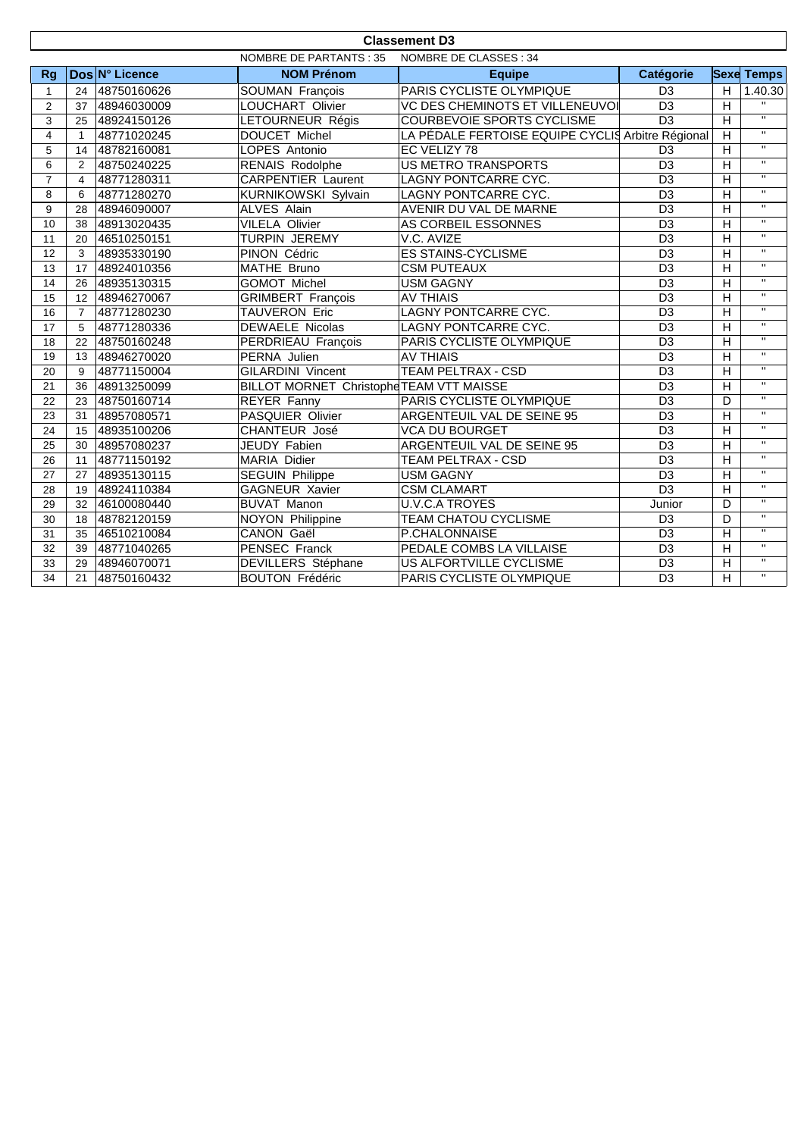| <b>Classement D3</b>                              |                |                |                                          |                                                   |                 |                |                         |  |  |
|---------------------------------------------------|----------------|----------------|------------------------------------------|---------------------------------------------------|-----------------|----------------|-------------------------|--|--|
| NOMBRE DE CLASSES : 34<br>NOMBRE DE PARTANTS : 35 |                |                |                                          |                                                   |                 |                |                         |  |  |
| <b>Rg</b>                                         |                | Dos N° Licence | <b>NOM Prénom</b>                        | <b>Equipe</b>                                     | Catégorie       |                | <b>Sexe Temps</b>       |  |  |
| 1                                                 | 24             | 48750160626    | SOUMAN François                          | PARIS CYCLISTE OLYMPIQUE<br>D <sub>3</sub>        |                 |                | 1.40.30                 |  |  |
| 2                                                 | 37             | 48946030009    | LOUCHART Olivier                         | VC DES CHEMINOTS ET VILLENEUVOI                   | D <sub>3</sub>  | $\overline{H}$ |                         |  |  |
| 3                                                 | 25             | 48924150126    | LETOURNEUR Régis                         | COURBEVOIE SPORTS CYCLISME                        | $\overline{D3}$ |                |                         |  |  |
| $\overline{4}$                                    | $\mathbf{1}$   | 48771020245    | DOUCET Michel                            | LA PÉDALE FERTOISE EQUIPE CYCLIS Arbitre Régional |                 | H              | $\mathbf{H}$            |  |  |
| 5                                                 | 14             | 48782160081    | LOPES Antonio                            | EC VELIZY 78                                      | D <sub>3</sub>  | $\overline{H}$ | $\mathbf{H}$            |  |  |
| 6                                                 | 2              | 48750240225    | <b>RENAIS Rodolphe</b>                   | <b>US METRO TRANSPORTS</b>                        | D <sub>3</sub>  | $\overline{H}$ | $\mathbf{H}$            |  |  |
| $\overline{7}$                                    | 4              | 48771280311    | <b>CARPENTIER Laurent</b>                | LAGNY PONTCARRE CYC.                              | D <sub>3</sub>  | H              | $\mathbf{H}$            |  |  |
| 8                                                 | 6              | 48771280270    | KURNIKOWSKI Sylvain                      | LAGNY PONTCARRE CYC.                              | D <sub>3</sub>  | $\overline{H}$ | $\overline{\mathbf{u}}$ |  |  |
| 9                                                 | 28             | 48946090007    | <b>ALVES Alain</b>                       | AVENIR DU VAL DE MARNE                            | $\overline{D3}$ | H              | $\mathbf{H}$            |  |  |
| 10                                                | 38             | 48913020435    | <b>VILELA Olivier</b>                    | AS CORBEIL ESSONNES                               | D <sub>3</sub>  | $\overline{H}$ | $\mathbf{H}$            |  |  |
| 11                                                | 20             | 46510250151    | TURPIN JEREMY                            | V.C. AVIZE                                        | D <sub>3</sub>  | $\overline{H}$ | $\mathbf{H}$            |  |  |
| 12                                                | 3              | 48935330190    | PINON Cédric                             | <b>ES STAINS-CYCLISME</b>                         | D <sub>3</sub>  | $\overline{H}$ | $\mathbf{H}$            |  |  |
| 13                                                | 17             | 48924010356    | MATHE Bruno                              | <b>CSM PUTEAUX</b>                                | D <sub>3</sub>  | H              | $\mathbf{H}$            |  |  |
| 14                                                | 26             | 48935130315    | <b>GOMOT Michel</b>                      | <b>USM GAGNY</b>                                  | $\overline{D3}$ | H              | $\mathbf{H}$            |  |  |
| 15                                                | 12             | 48946270067    | <b>GRIMBERT François</b>                 | <b>AV THIAIS</b>                                  | $\overline{D3}$ | $\overline{H}$ | $\overline{11}$         |  |  |
| 16                                                | $\overline{7}$ | 48771280230    | TAUVERON Eric                            | LAGNY PONTCARRE CYC.                              | D <sub>3</sub>  | H              | $\mathbf{H}$            |  |  |
| 17                                                | 5              | 48771280336    | <b>DEWAELE Nicolas</b>                   | LAGNY PONTCARRE CYC.                              | D <sub>3</sub>  | H              | $\mathbf{H}$            |  |  |
| 18                                                | 22             | 48750160248    | PERDRIEAU François                       | PARIS CYCLISTE OLYMPIQUE                          | $\overline{D3}$ | $\overline{H}$ | $\mathbf{H}$            |  |  |
| 19                                                | 13             | 48946270020    | PERNA Julien                             | <b>AV THIAIS</b>                                  | D <sub>3</sub>  | H              | $\mathbf{H}$            |  |  |
| 20                                                | 9              | 48771150004    | <b>GILARDINI Vincent</b>                 | <b>TEAM PELTRAX - CSD</b>                         | $\overline{D3}$ | $\overline{H}$ | $\overline{\mathbf{u}}$ |  |  |
| 21                                                | 36             | 48913250099    | BILLOT MORNET Christophe TEAM VTT MAISSE |                                                   | D <sub>3</sub>  | $\overline{H}$ | $\mathbf{H}$            |  |  |
| 22                                                | 23             | 48750160714    | REYER Fanny                              | PARIS CYCLISTE OLYMPIQUE                          | $\overline{D3}$ | D              | $\overline{u}$          |  |  |
| 23                                                | 31             | 48957080571    | PASQUIER Olivier                         | ARGENTEUIL VAL DE SEINE 95                        | D <sub>3</sub>  | $\overline{H}$ | $\overline{\mathbf{u}}$ |  |  |
| 24                                                | 15             | 48935100206    | CHANTEUR José                            | <b>VCA DU BOURGET</b>                             | D <sub>3</sub>  | $\overline{H}$ | $\mathbf{H}$            |  |  |
| 25                                                | 30             | 48957080237    | JEUDY Fabien                             | ARGENTEUIL VAL DE SEINE 95                        | D <sub>3</sub>  | $\overline{H}$ | $\mathbf{H}$            |  |  |
| 26                                                | 11             | 48771150192    | <b>MARIA Didier</b>                      | TEAM PELTRAX - CSD                                | D <sub>3</sub>  | H              | $\overline{\mathbf{u}}$ |  |  |
| 27                                                | 27             | 48935130115    | <b>SEGUIN Philippe</b>                   | <b>USM GAGNY</b>                                  | D <sub>3</sub>  | $\overline{H}$ | $\mathbf{H}$            |  |  |
| 28                                                | 19             | 48924110384    | <b>GAGNEUR Xavier</b>                    | <b>CSM CLAMART</b>                                | $\overline{D3}$ | $\overline{H}$ | $\mathbf{H}$            |  |  |
| 29                                                | 32             | 46100080440    | <b>BUVAT Manon</b>                       | <b>U.V.C.A TROYES</b>                             | Junior          | D              | $\mathbf{H}$            |  |  |
| 30                                                | 18             | 48782120159    | <b>NOYON Philippine</b>                  | TEAM CHATOU CYCLISME                              | D <sub>3</sub>  | D              | $\overline{\mathbf{H}}$ |  |  |
| 31                                                | 35             | 46510210084    | <b>CANON Gaël</b>                        | P.CHALONNAISE                                     | D <sub>3</sub>  | $\overline{H}$ | $\mathbf{H}$            |  |  |
| 32                                                | 39             | 48771040265    | <b>PENSEC Franck</b>                     | PEDALE COMBS LA VILLAISE                          | D <sub>3</sub>  | $\overline{H}$ | $\mathbf{H}$            |  |  |
| 33                                                | 29             | 48946070071    | <b>DEVILLERS</b> Stéphane                | US ALFORTVILLE CYCLISME                           | D <sub>3</sub>  | $\overline{H}$ | $\mathbf{H}$            |  |  |
| 34                                                | 21             | 48750160432    | <b>BOUTON Frédéric</b>                   | PARIS CYCLISTE OLYMPIQUE                          | $\overline{D3}$ | $\overline{H}$ | $\mathbf{H}$            |  |  |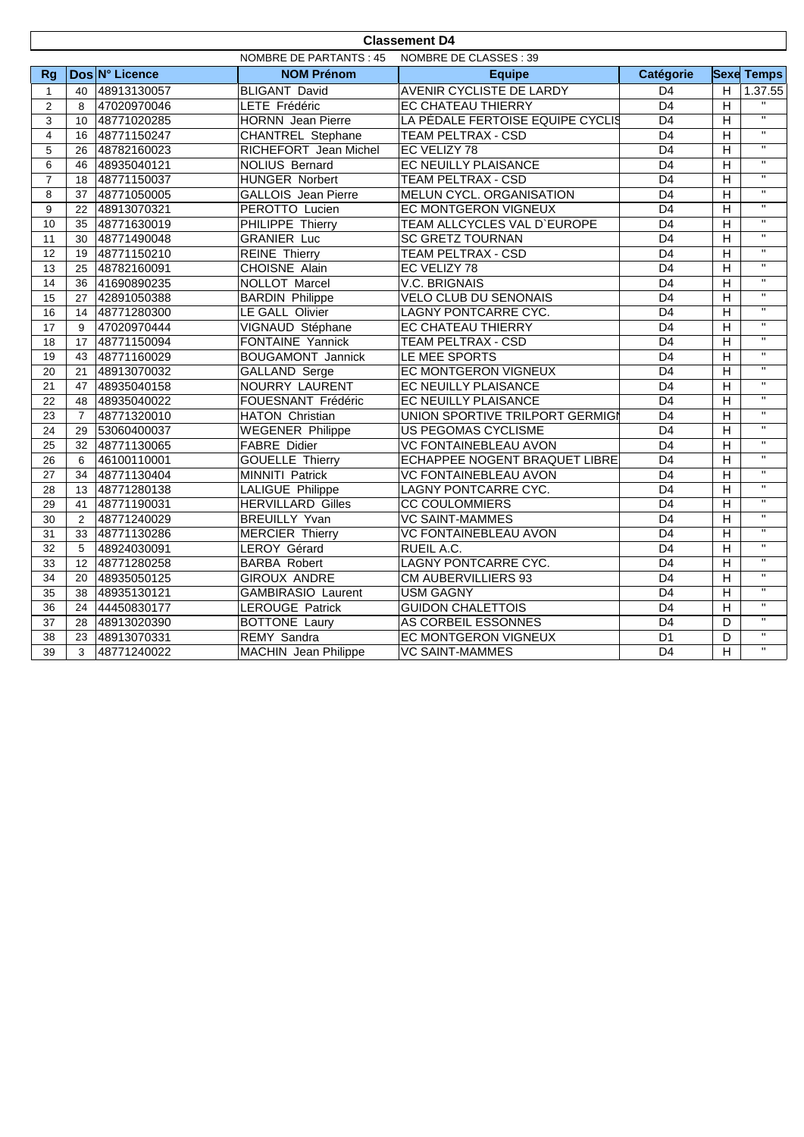| <b>Classement D4</b>    |                                                         |                |                            |                                  |                 |                |                         |  |  |
|-------------------------|---------------------------------------------------------|----------------|----------------------------|----------------------------------|-----------------|----------------|-------------------------|--|--|
|                         | <b>NOMBRE DE PARTANTS: 45</b><br>NOMBRE DE CLASSES : 39 |                |                            |                                  |                 |                |                         |  |  |
| <b>Rg</b>               |                                                         | Dos N° Licence | <b>NOM Prénom</b>          | <b>Equipe</b>                    | Catégorie       |                | <b>Sexe Temps</b>       |  |  |
| $\mathbf{1}$            | 40                                                      | 48913130057    | <b>BLIGANT David</b>       | AVENIR CYCLISTE DE LARDY         | D <sub>4</sub>  | H              | 1.37.55                 |  |  |
| 2                       | 8                                                       | 47020970046    | LETE Frédéric              | EC CHATEAU THIERRY               | $\overline{D4}$ | $\overline{H}$ |                         |  |  |
| 3                       | 10 <sup>10</sup>                                        | 48771020285    | HORNN Jean Pierre          | LA PÉDALE FERTOISE EQUIPE CYCLIS | D <sub>4</sub>  | $\overline{H}$ | $\overline{u}$          |  |  |
| $\overline{\mathbf{4}}$ | 16                                                      | 48771150247    | <b>CHANTREL Stephane</b>   | <b>TEAM PELTRAX - CSD</b>        | $\overline{D4}$ | $\overline{H}$ | $\overline{u}$          |  |  |
| 5                       | 26                                                      | 48782160023    | RICHEFORT Jean Michel      | EC VELIZY 78                     | D <sub>4</sub>  | $\overline{H}$ | $\overline{\mathbf{u}}$ |  |  |
| 6                       | 46                                                      | 48935040121    | <b>NOLIUS Bernard</b>      | EC NEUILLY PLAISANCE             | D <sub>4</sub>  | $\overline{H}$ | $\overline{u}$          |  |  |
| $\overline{7}$          | 18                                                      | 48771150037    | <b>HUNGER Norbert</b>      | <b>TEAM PELTRAX - CSD</b>        | D <sub>4</sub>  | H              | $\mathbf{H}$            |  |  |
| 8                       | 37                                                      | 48771050005    | <b>GALLOIS</b> Jean Pierre | <b>MELUN CYCL. ORGANISATION</b>  | D <sub>4</sub>  | H              | $\overline{11}$         |  |  |
| 9                       | 22                                                      | 48913070321    | PEROTTO Lucien             | EC MONTGERON VIGNEUX             | D <sub>4</sub>  | H              | $\overline{\mathbf{u}}$ |  |  |
| 10                      | 35                                                      | 48771630019    | PHILIPPE Thierry           | TEAM ALLCYCLES VAL D'EUROPE      | D <sub>4</sub>  | $\overline{H}$ | $\overline{\mathbf{u}}$ |  |  |
| 11                      | 30                                                      | 48771490048    | <b>GRANIER Luc</b>         | <b>SC GRETZ TOURNAN</b>          | D <sub>4</sub>  | H              | $\mathbf{H}$            |  |  |
| 12                      | 19                                                      | 48771150210    | <b>REINE Thierry</b>       | TEAM PELTRAX - CSD               | D <sub>4</sub>  | $\overline{H}$ | $\mathbf{H}$            |  |  |
| 13                      | 25                                                      | 48782160091    | <b>CHOISNE Alain</b>       | EC VELIZY 78                     | $\overline{D4}$ | $\overline{H}$ | $\mathbf{H}$            |  |  |
| 14                      | 36                                                      | 41690890235    | NOLLOT Marcel              | V.C. BRIGNAIS                    | $\overline{D4}$ | $\overline{H}$ | $\mathbf{u}$            |  |  |
| 15                      | 27                                                      | 42891050388    | <b>BARDIN Philippe</b>     | <b>VELO CLUB DU SENONAIS</b>     | D4              | $\overline{H}$ | $\overline{\mathbf{u}}$ |  |  |
| 16                      | 14                                                      | 48771280300    | LE GALL Olivier            | LAGNY PONTCARRE CYC.             | D <sub>4</sub>  | $\overline{H}$ | $\mathbf{H}$            |  |  |
| 17                      | 9                                                       | 47020970444    | VIGNAUD Stéphane           | EC CHATEAU THIERRY               | D <sub>4</sub>  | $\overline{H}$ | $\mathbf{H}$            |  |  |
| $\overline{18}$         | 17                                                      | 48771150094    | <b>FONTAINE Yannick</b>    | <b>TEAM PELTRAX - CSD</b>        | $\overline{D4}$ | $\overline{H}$ | $\mathbf{H}$            |  |  |
| 19                      | 43                                                      | 48771160029    | <b>BOUGAMONT Jannick</b>   | LE MEE SPORTS                    | D <sub>4</sub>  | H              | $\mathbf{H}$            |  |  |
| 20                      | 21                                                      | 48913070032    | GALLAND Serge              | EC MONTGERON VIGNEUX             | D <sub>4</sub>  | H              | $\mathbf{H}$            |  |  |
| 21                      | 47                                                      | 48935040158    | <b>NOURRY LAURENT</b>      | EC NEUILLY PLAISANCE             | $\overline{D4}$ | $\overline{H}$ | $\overline{u}$          |  |  |
| 22                      | 48                                                      | 48935040022    | FOUESNANT Frédéric         | EC NEUILLY PLAISANCE             | $\overline{D4}$ | $\overline{H}$ | $\overline{\mathbf{u}}$ |  |  |
| 23                      | $\overline{7}$                                          | 48771320010    | <b>HATON Christian</b>     | UNION SPORTIVE TRILPORT GERMIGI  | $\overline{D4}$ | $\overline{H}$ | $\overline{u}$          |  |  |
| 24                      | 29                                                      | 53060400037    | <b>WEGENER Philippe</b>    | US PEGOMAS CYCLISME              | D <sub>4</sub>  | H              | $\mathbf{H}$            |  |  |
| 25                      | 32                                                      | 48771130065    | <b>FABRE</b> Didier        | <b>VC FONTAINEBLEAU AVON</b>     | $\overline{D4}$ | $\overline{H}$ | $\mathbf{H}$            |  |  |
| $\overline{26}$         | 6                                                       | 46100110001    | <b>GOUELLE Thierry</b>     | ECHAPPEE NOGENT BRAQUET LIBRE    | $\overline{D4}$ | $\overline{H}$ | $\overline{\mathbf{u}}$ |  |  |
| 27                      | 34                                                      | 48771130404    | <b>MINNITI Patrick</b>     | <b>VC FONTAINEBLEAU AVON</b>     | $\overline{D4}$ | $\overline{H}$ | $\overline{u}$          |  |  |
| 28                      | 13                                                      | 48771280138    | <b>LALIGUE Philippe</b>    | LAGNY PONTCARRE CYC.             | D <sub>4</sub>  | H              | $\overline{u}$          |  |  |
| 29                      | 41                                                      | 48771190031    | <b>HERVILLARD Gilles</b>   | <b>CC COULOMMIERS</b>            | D <sub>4</sub>  | $\overline{H}$ | $\overline{u}$          |  |  |
| 30                      | 2                                                       | 48771240029    | <b>BREUILLY Yvan</b>       | <b>VC SAINT-MAMMES</b>           | D4              | $\overline{H}$ | $\overline{u}$          |  |  |
| 31                      | 33                                                      | 48771130286    | <b>MERCIER Thierry</b>     | <b>VC FONTAINEBLEAU AVON</b>     | D <sub>4</sub>  | $\overline{H}$ | $\overline{u}$          |  |  |
| 32                      | 5                                                       | 48924030091    | <b>LEROY Gérard</b>        | RUEIL A.C.                       | D <sub>4</sub>  | $\overline{H}$ | $\overline{\mathbf{u}}$ |  |  |
| 33                      | 12                                                      | 48771280258    | <b>BARBA Robert</b>        | LAGNY PONTCARRE CYC.             | D <sub>4</sub>  | $\overline{H}$ | $\mathbf{H}$            |  |  |
| 34                      | 20                                                      | 48935050125    | <b>GIROUX ANDRE</b>        | <b>CM AUBERVILLIERS 93</b>       | $\overline{D4}$ | $\overline{H}$ | $\mathbf{H}$            |  |  |
| 35                      | 38                                                      | 48935130121    | <b>GAMBIRASIO Laurent</b>  | <b>USM GAGNY</b>                 | $\overline{D4}$ | $\overline{H}$ | $\overline{u}$          |  |  |
| 36                      | 24                                                      | 44450830177    | <b>LEROUGE Patrick</b>     | <b>GUIDON CHALETTOIS</b>         | D <sub>4</sub>  | $\overline{H}$ | $\overline{u}$          |  |  |
| 37                      | 28                                                      | 48913020390    | <b>BOTTONE Laury</b>       | AS CORBEIL ESSONNES              | D <sub>4</sub>  | D              | $\overline{u}$          |  |  |
| $\overline{38}$         | 23                                                      | 48913070331    | <b>REMY Sandra</b>         | EC MONTGERON VIGNEUX             | $\overline{D1}$ | D              | $\overline{u}$          |  |  |
| 39                      | $\overline{3}$                                          | 48771240022    | MACHIN Jean Philippe       | <b>VC SAINT-MAMMES</b>           | D <sub>4</sub>  | $\overline{H}$ | $\overline{\mathbf{H}}$ |  |  |